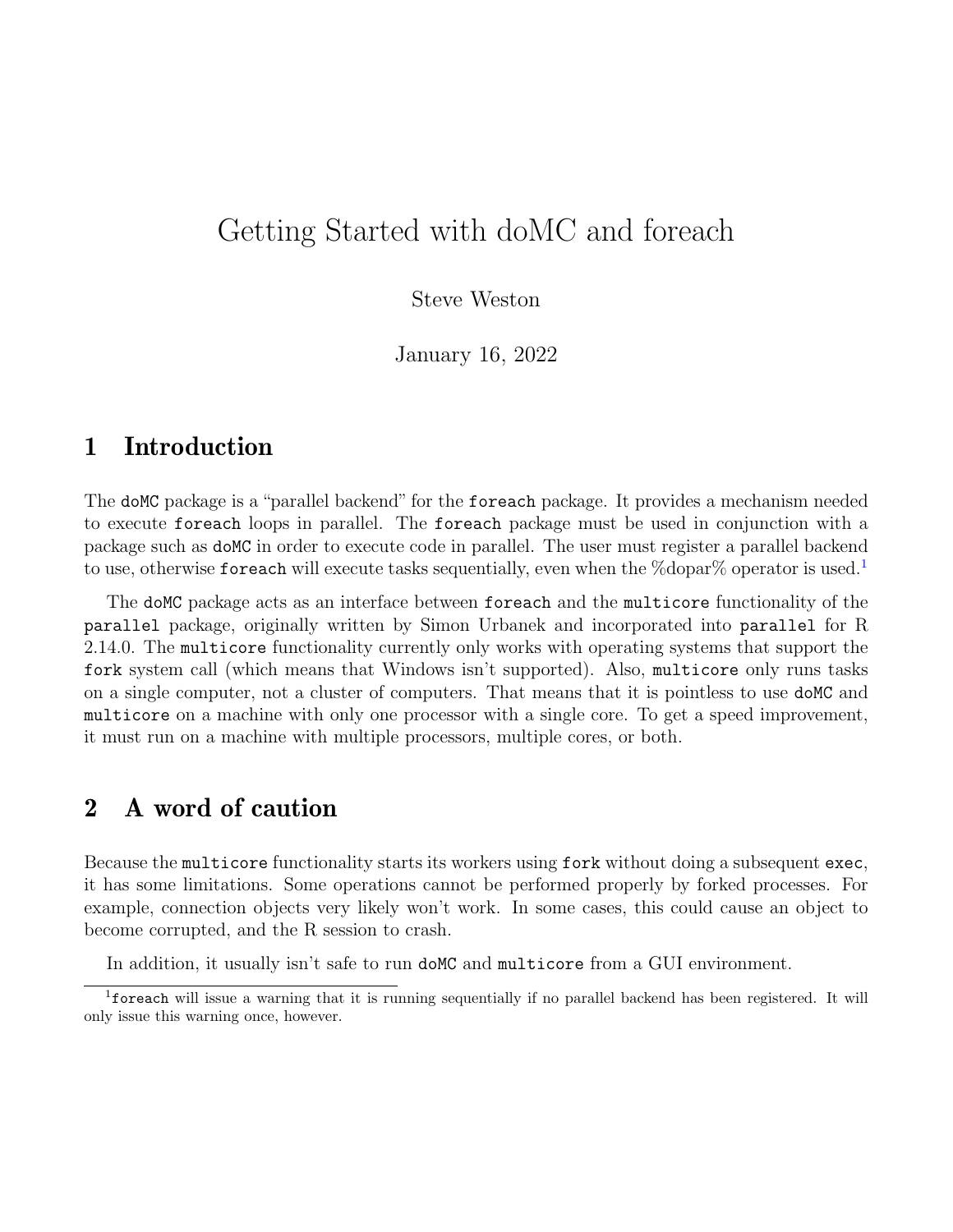# Getting Started with doMC and foreach

Steve Weston

January 16, 2022

#### 1 Introduction

The doMC package is a "parallel backend" for the foreach package. It provides a mechanism needed to execute foreach loops in parallel. The foreach package must be used in conjunction with a package such as doMC in order to execute code in parallel. The user must register a parallel backend to use, otherwise foreach will execute tasks sequentially, even when the %dopar% operator is used.<sup>[1](#page-0-0)</sup>

The doMC package acts as an interface between foreach and the multicore functionality of the parallel package, originally written by Simon Urbanek and incorporated into parallel for R 2.14.0. The multicore functionality currently only works with operating systems that support the fork system call (which means that Windows isn't supported). Also, multicore only runs tasks on a single computer, not a cluster of computers. That means that it is pointless to use doMC and multicore on a machine with only one processor with a single core. To get a speed improvement, it must run on a machine with multiple processors, multiple cores, or both.

### 2 A word of caution

Because the multicore functionality starts its workers using fork without doing a subsequent exec, it has some limitations. Some operations cannot be performed properly by forked processes. For example, connection objects very likely won't work. In some cases, this could cause an object to become corrupted, and the R session to crash.

<span id="page-0-0"></span>In addition, it usually isn't safe to run doMC and multicore from a GUI environment.

<sup>1</sup>foreach will issue a warning that it is running sequentially if no parallel backend has been registered. It will only issue this warning once, however.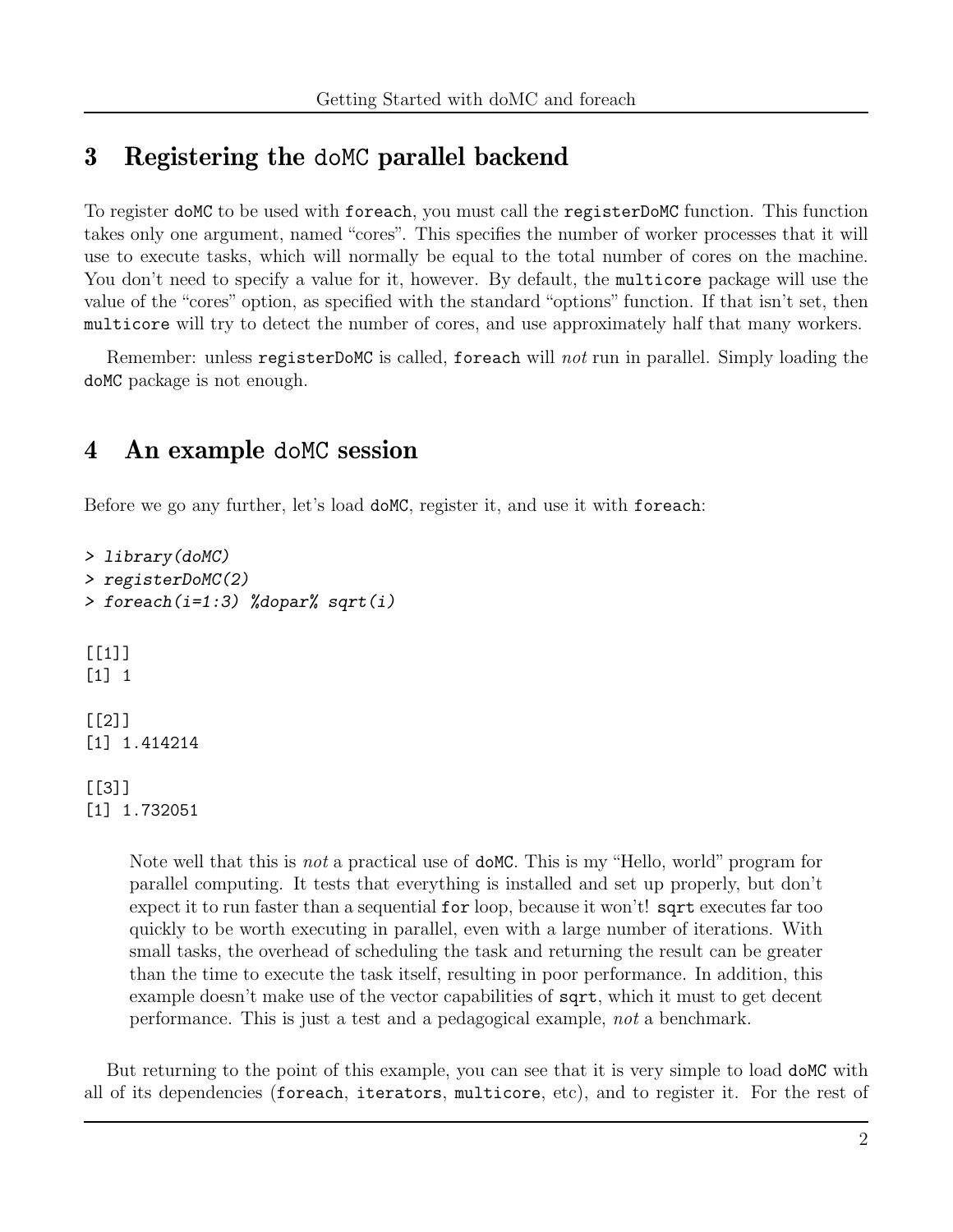## 3 Registering the doMC parallel backend

To register doMC to be used with foreach, you must call the registerDoMC function. This function takes only one argument, named "cores". This specifies the number of worker processes that it will use to execute tasks, which will normally be equal to the total number of cores on the machine. You don't need to specify a value for it, however. By default, the multicore package will use the value of the "cores" option, as specified with the standard "options" function. If that isn't set, then multicore will try to detect the number of cores, and use approximately half that many workers.

Remember: unless registerDoMC is called, foreach will not run in parallel. Simply loading the doMC package is not enough.

### 4 An example doMC session

Before we go any further, let's load doMC, register it, and use it with foreach:

```
> library(doMC)
> registerDoMC(2)
> foreach(i=1:3) %dopar% sqrt(i)
[[1]]
[1] 1
[[2]]
[1] 1.414214
[[3]]
[1] 1.732051
```
Note well that this is *not* a practical use of **doMC**. This is my "Hello, world" program for parallel computing. It tests that everything is installed and set up properly, but don't expect it to run faster than a sequential for loop, because it won't! sqrt executes far too quickly to be worth executing in parallel, even with a large number of iterations. With small tasks, the overhead of scheduling the task and returning the result can be greater than the time to execute the task itself, resulting in poor performance. In addition, this example doesn't make use of the vector capabilities of **sqrt**, which it must to get decent performance. This is just a test and a pedagogical example, not a benchmark.

But returning to the point of this example, you can see that it is very simple to load doMC with all of its dependencies (foreach, iterators, multicore, etc), and to register it. For the rest of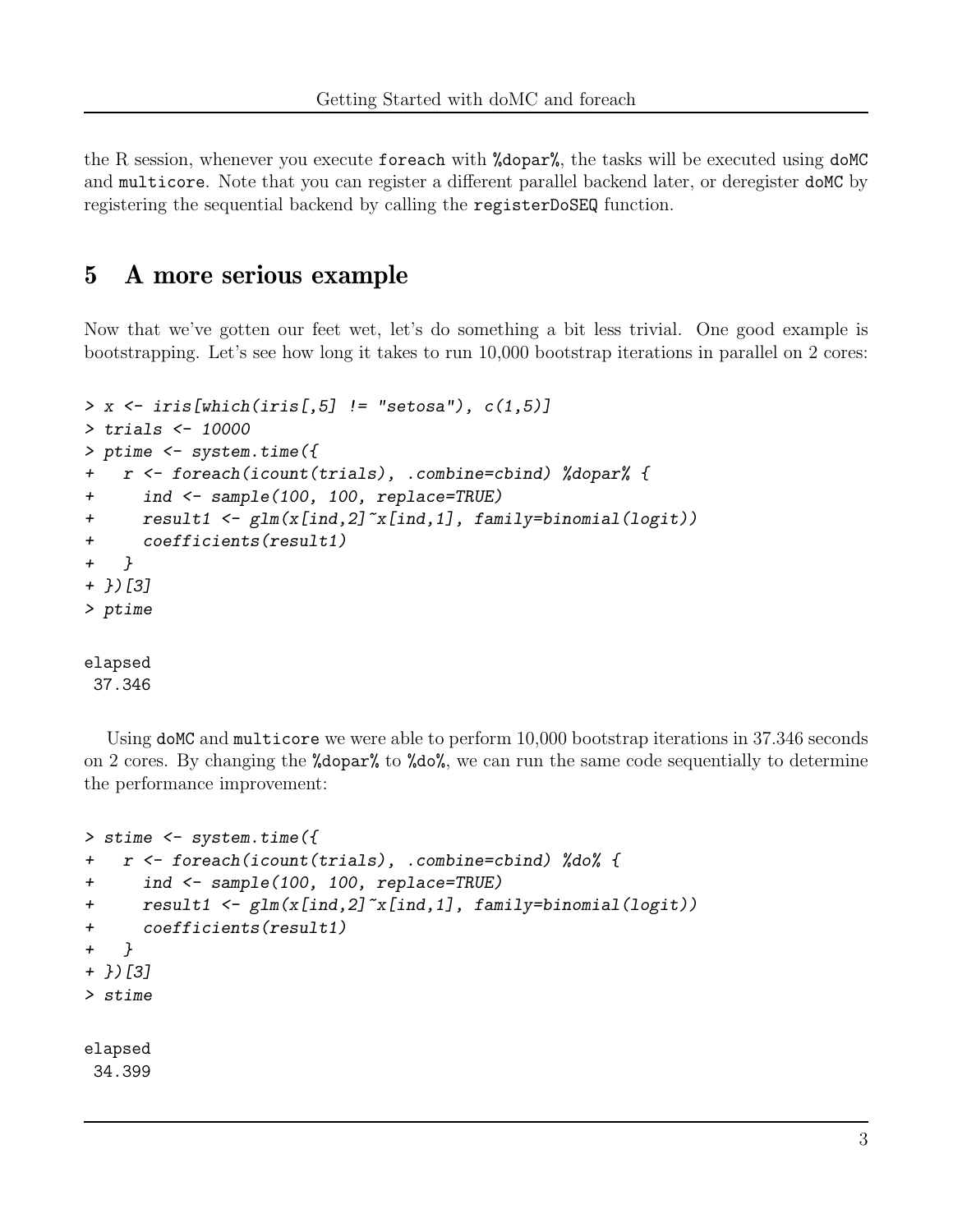the R session, whenever you execute foreach with %dopar%, the tasks will be executed using doMC and multicore. Note that you can register a different parallel backend later, or deregister doMC by registering the sequential backend by calling the registerDoSEQ function.

### 5 A more serious example

Now that we've gotten our feet wet, let's do something a bit less trivial. One good example is bootstrapping. Let's see how long it takes to run 10,000 bootstrap iterations in parallel on 2 cores:

```
> x \leftarrow \text{iris}[\text{which}(\text{iris}[, 5] != "setosa"), c(1,5)]
> trials <- 10000
> ptime <- system.time({
+ r <- foreach(icount(trials), .combine=cbind) %dopar% {
+ ind <- sample(100, 100, replace=TRUE)
+ result1 <- glm(x[ind,2]~x[ind,1], family=binomial(logit))
+ coefficients(result1)
+ }
+ })[3]
> ptime
elapsed
 37.346
```
Using doMC and multicore we were able to perform  $10,000$  bootstrap iterations in 37.346 seconds on 2 cores. By changing the %dopar% to %do%, we can run the same code sequentially to determine the performance improvement:

```
> stime <- system.time({
+ r <- foreach(icount(trials), .combine=cbind) %do% {
+ ind <- sample(100, 100, replace=TRUE)
+ result1 <- glm(x[ind,2]~x[ind,1], family=binomial(logit))
+ coefficients(result1)
+ }
+ })[3]
> stime
elapsed
34.399
```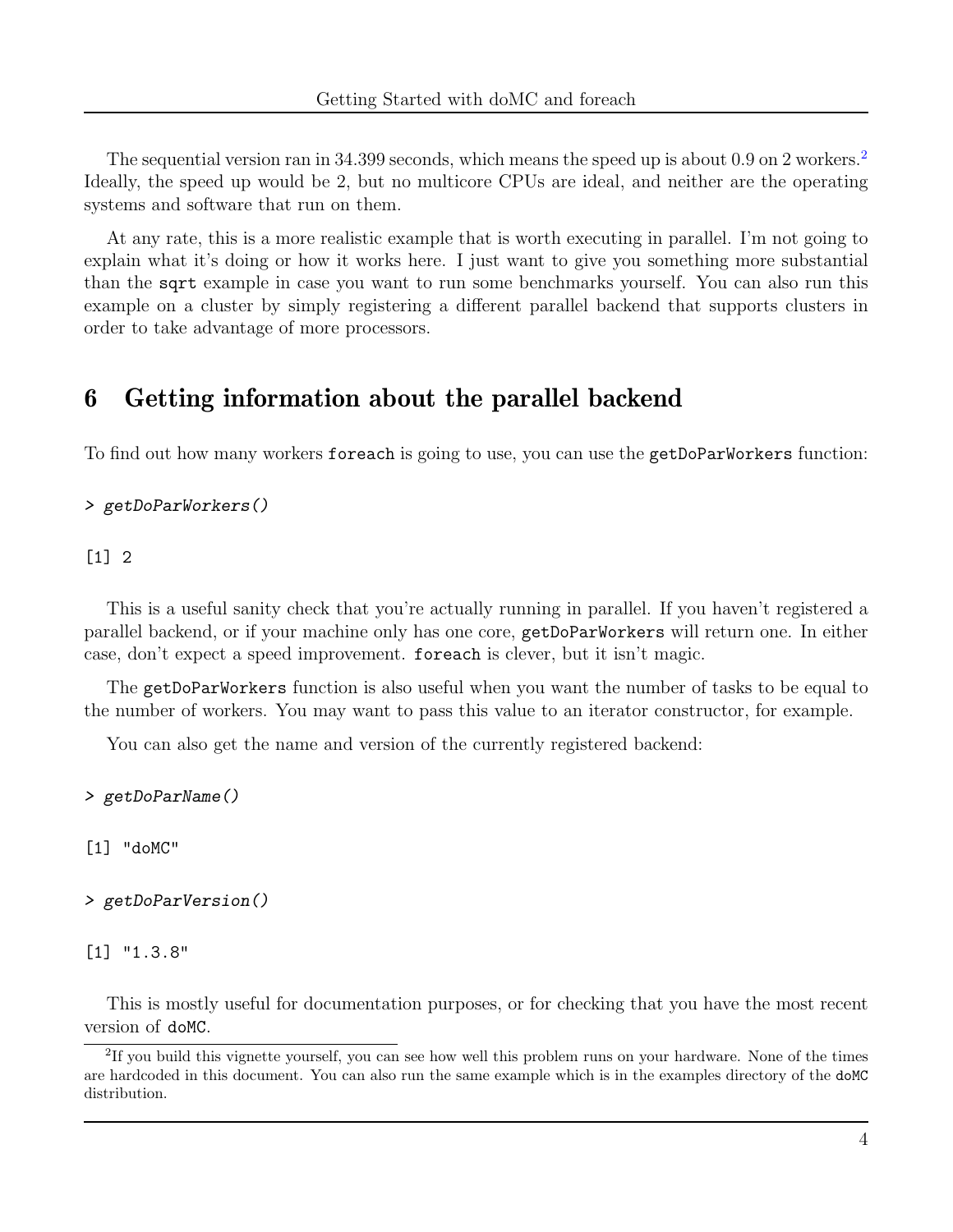The sequential version ran in 34.399 seconds, which means the speed up is about 0.9 on [2](#page-3-0) workers.<sup>2</sup> Ideally, the speed up would be 2, but no multicore CPUs are ideal, and neither are the operating systems and software that run on them.

At any rate, this is a more realistic example that is worth executing in parallel. I'm not going to explain what it's doing or how it works here. I just want to give you something more substantial than the sqrt example in case you want to run some benchmarks yourself. You can also run this example on a cluster by simply registering a different parallel backend that supports clusters in order to take advantage of more processors.

### 6 Getting information about the parallel backend

To find out how many workers foreach is going to use, you can use the getDoParWorkers function:

```
> getDoParWorkers()
```
[1] 2

This is a useful sanity check that you're actually running in parallel. If you haven't registered a parallel backend, or if your machine only has one core, getDoParWorkers will return one. In either case, don't expect a speed improvement. foreach is clever, but it isn't magic.

The getDoParWorkers function is also useful when you want the number of tasks to be equal to the number of workers. You may want to pass this value to an iterator constructor, for example.

You can also get the name and version of the currently registered backend:

> getDoParName()

[1] "doMC"

> getDoParVersion()

[1] "1.3.8"

This is mostly useful for documentation purposes, or for checking that you have the most recent version of doMC.

<span id="page-3-0"></span><sup>&</sup>lt;sup>2</sup>If you build this vignette yourself, you can see how well this problem runs on your hardware. None of the times are hardcoded in this document. You can also run the same example which is in the examples directory of the doMC distribution.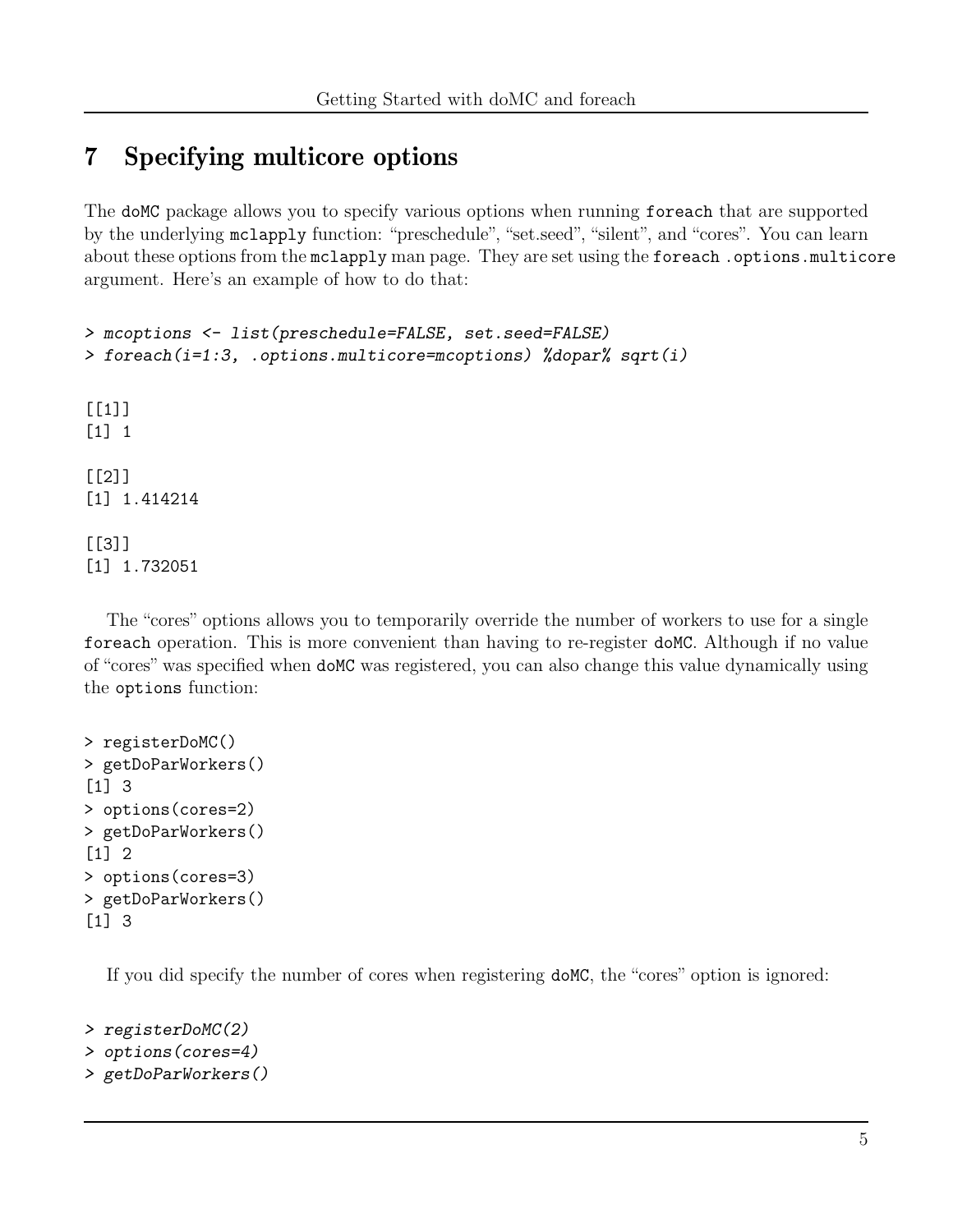## 7 Specifying multicore options

The doMC package allows you to specify various options when running foreach that are supported by the underlying mclapply function: "preschedule", "set.seed", "silent", and "cores". You can learn about these options from the mclapply man page. They are set using the foreach .options.multicore argument. Here's an example of how to do that:

```
> mcoptions <- list(preschedule=FALSE, set.seed=FALSE)
> foreach(i=1:3, .options.multicore=mcoptions) %dopar% sqrt(i)
[[1][1] 1
[[2]]
[1] 1.414214
[[3]]
[1] 1.732051
```
The "cores" options allows you to temporarily override the number of workers to use for a single foreach operation. This is more convenient than having to re-register doMC. Although if no value of "cores" was specified when doMC was registered, you can also change this value dynamically using the options function:

```
> registerDoMC()
> getDoParWorkers()
[1] 3
> options(cores=2)
> getDoParWorkers()
[1] 2
> options(cores=3)
> getDoParWorkers()
[1] 3
```
If you did specify the number of cores when registering doMC, the "cores" option is ignored:

```
> registerDoMC(2)
```

```
> options(cores=4)
```
> getDoParWorkers()